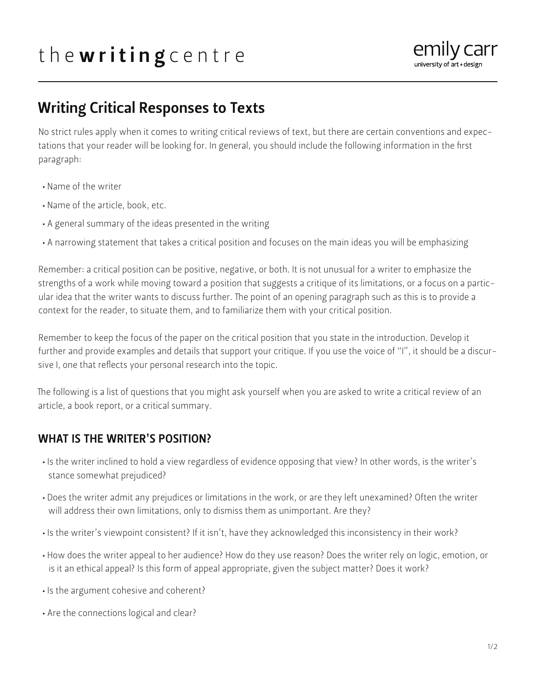# the writing centre



## Writing Critical Responses to Texts

No strict rules apply when it comes to writing critical reviews of text, but there are certain conventions and expectations that your reader will be looking for. In general, you should include the following information in the first paragraph:

- Name of the writer
- Name of the article, book, etc.
- A general summary of the ideas presented in the writing
- A narrowing statement that takes a critical position and focuses on the main ideas you will be emphasizing

Remember: a critical position can be positive, negative, or both. It is not unusual for a writer to emphasize the strengths of a work while moving toward a position that suggests a critique of its limitations, or a focus on a particular idea that the writer wants to discuss further. The point of an opening paragraph such as this is to provide a context for the reader, to situate them, and to familiarize them with your critical position.

Remember to keep the focus of the paper on the critical position that you state in the introduction. Develop it further and provide examples and details that support your critique. If you use the voice of "I", it should be a discursive I, one that reflects your personal research into the topic.

The following is a list of questions that you might ask yourself when you are asked to write a critical review of an article, a book report, or a critical summary.

#### WHAT IS THE WRITER'S POSITION?

- Is the writer inclined to hold a view regardless of evidence opposing that view? In other words, is the writer's stance somewhat prejudiced?
- Does the writer admit any prejudices or limitations in the work, or are they left unexamined? Often the writer will address their own limitations, only to dismiss them as unimportant. Are they?
- Is the writer's viewpoint consistent? If it isn't, have they acknowledged this inconsistency in their work?
- How does the writer appeal to her audience? How do they use reason? Does the writer rely on logic, emotion, or is it an ethical appeal? Is this form of appeal appropriate, given the subject matter? Does it work?
- Is the argument cohesive and coherent?
- Are the connections logical and clear?